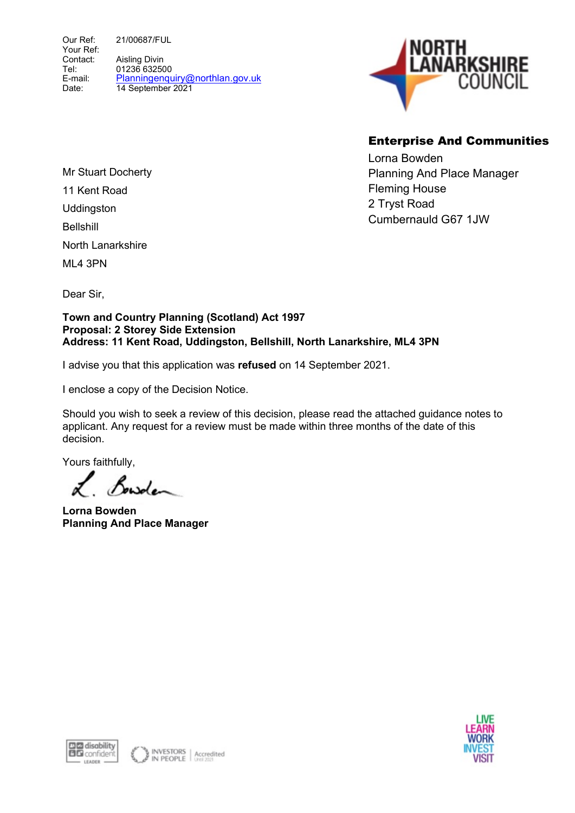Our Ref: Your Ref: Contact: Tel: E-mail: Date: 21/00687/FUL Aisling Divin 01236 632500 Planningenquiry@northlan.gov.uk 14 September 2021



# Enterprise And Communities

Lorna Bowden Planning And Place Manager Fleming House 2 Tryst Road Cumbernauld G67 1JW

Mr Stuart Docherty 11 Kent Road **Uddinaston** Bellshill North Lanarkshire

ML4 3PN

Dear Sir,

Town and Country Planning (Scotland) Act 1997 Proposal: 2 Storey Side Extension Address: 11 Kent Road, Uddingston, Bellshill, North Lanarkshire, ML4 3PN

I advise you that this application was refused on 14 September 2021.

I enclose a copy of the Decision Notice.

Should you wish to seek a review of this decision, please read the attached guidance notes to applicant. Any request for a review must be made within three months of the date of this decision.

Yours faithfully,

Bowden

Lorna Bowden Planning And Place Manager



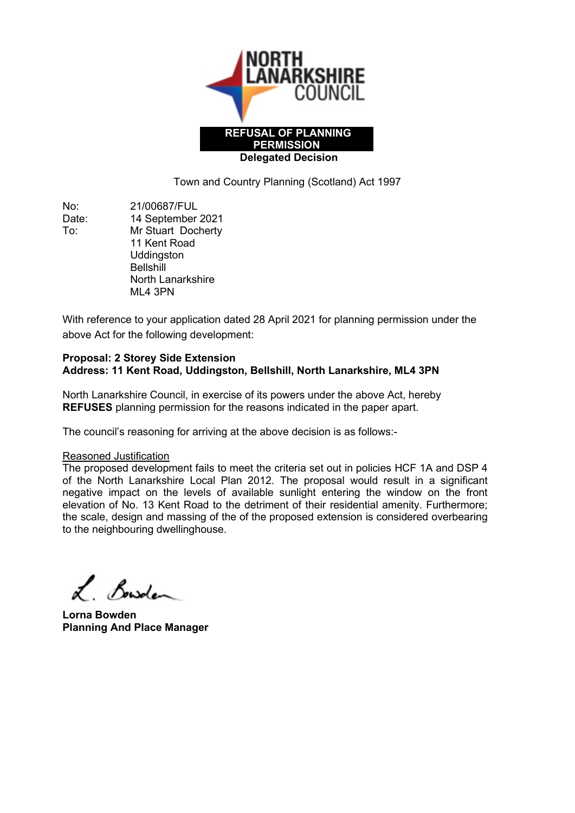

Town and Country Planning (Scotland) Act 1997

No: 21/00687/FUL Date: 14 September 2021 To: Mr Stuart Docherty 11 Kent Road **Uddingston Bellshill**  North Lanarkshire ML4 3PN

With reference to your application dated 28 April 2021 for planning permission under the above Act for the following development:

#### Proposal: 2 Storey Side Extension Address: 11 Kent Road, Uddingston, Bellshill, North Lanarkshire, ML4 3PN

North Lanarkshire Council, in exercise of its powers under the above Act, hereby REFUSES planning permission for the reasons indicated in the paper apart.

The council's reasoning for arriving at the above decision is as follows:-

# Reasoned Justification

The proposed development fails to meet the criteria set out in policies HCF 1A and DSP 4 of the North Lanarkshire Local Plan 2012. The proposal would result in a significant negative impact on the levels of available sunlight entering the window on the front elevation of No. 13 Kent Road to the detriment of their residential amenity. Furthermore; the scale, design and massing of the of the proposed extension is considered overbearing to the neighbouring dwellinghouse.

L. Bowden

Lorna Bowden Planning And Place Manager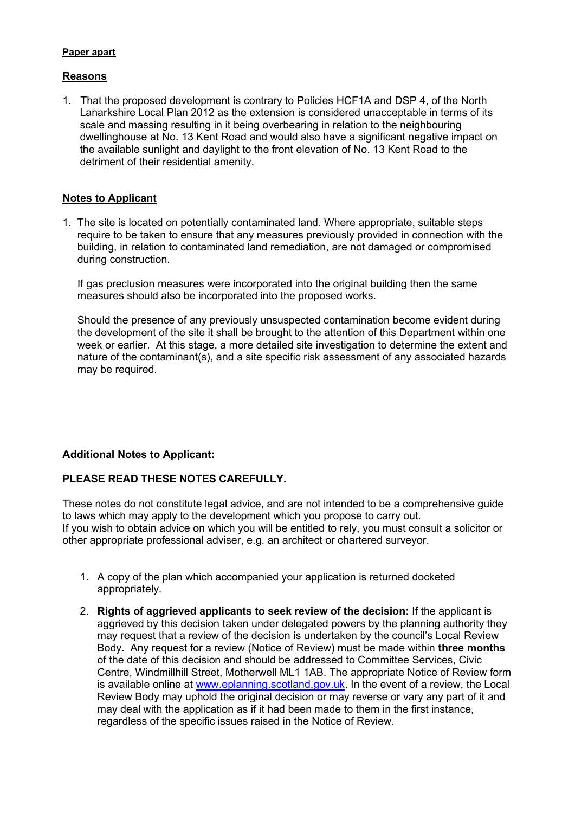#### Paper apart

#### Reasons

1. That the proposed development is contrary to Policies HCF1A and DSP 4, of the North Lanarkshire Local Plan 2012 as the extension is considered unacceptable in terms of its scale and massing resulting in it being overbearing in relation to the neighbouring dwellinghouse at No. 13 Kent Road and would also have a significant negative impact on the available sunlight and daylight to the front elevation of No. 13 Kent Road to the detriment of their residential amenity.

# Notes to Applicant

1. The site is located on potentially contaminated land. Where appropriate, suitable steps require to be taken to ensure that any measures previously provided in connection with the building, in relation to contaminated land remediation, are not damaged or compromised during construction.

 If gas preclusion measures were incorporated into the original building then the same measures should also be incorporated into the proposed works.

 Should the presence of any previously unsuspected contamination become evident during the development of the site it shall be brought to the attention of this Department within one week or earlier. At this stage, a more detailed site investigation to determine the extent and nature of the contaminant(s), and a site specific risk assessment of any associated hazards may be required.

# Additional Notes to Applicant:

# PLEASE READ THESE NOTES CAREFULLY.

These notes do not constitute legal advice, and are not intended to be a comprehensive guide to laws which may apply to the development which you propose to carry out. If you wish to obtain advice on which you will be entitled to rely, you must consult a solicitor or other appropriate professional adviser, e.g. an architect or chartered surveyor.

- 1. A copy of the plan which accompanied your application is returned docketed appropriately.
- 2. Rights of aggrieved applicants to seek review of the decision: If the applicant is aggrieved by this decision taken under delegated powers by the planning authority they may request that a review of the decision is undertaken by the council's Local Review Body. Any request for a review (Notice of Review) must be made within three months of the date of this decision and should be addressed to Committee Services, Civic Centre, Windmillhill Street, Motherwell ML1 1AB. The appropriate Notice of Review form is available online at www.eplanning.scotland.gov.uk. In the event of a review, the Local Review Body may uphold the original decision or may reverse or vary any part of it and may deal with the application as if it had been made to them in the first instance, regardless of the specific issues raised in the Notice of Review.